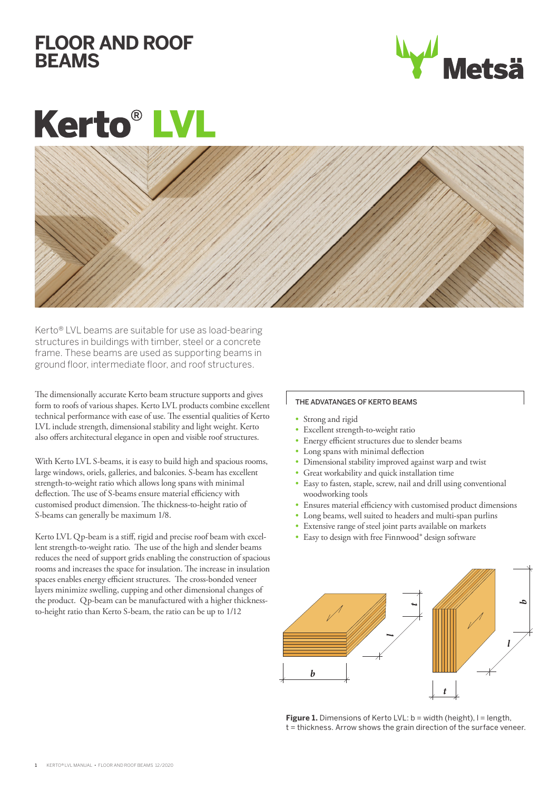## **FLOOR AND ROOF BEAMS**



## **Kerto®L**



Kerto® LVL beams are suitable for use as load-bearing structures in buildings with timber, steel or a concrete frame. These beams are used as supporting beams in ground floor, intermediate floor, and roof structures.

The dimensionally accurate Kerto beam structure supports and gives form to roofs of various shapes. Kerto LVL products combine excellent technical performance with ease of use. The essential qualities of Kerto LVL include strength, dimensional stability and light weight. Kerto also offers architectural elegance in open and visible roof structures.

With Kerto LVL S-beams, it is easy to build high and spacious rooms, large windows, oriels, galleries, and balconies. S-beam has excellent strength-to-weight ratio which allows long spans with minimal deflection. The use of S-beams ensure material efficiency with customised product dimension. The thickness-to-height ratio of S-beams can generally be maximum 1/8.

Kerto LVL Qp-beam is a stiff, rigid and precise roof beam with excellent strength-to-weight ratio. The use of the high and slender beams reduces the need of support grids enabling the construction of spacious rooms and increases the space for insulation. The increase in insulation spaces enables energy efficient structures. The cross-bonded veneer layers minimize swelling, cupping and other dimensional changes of the product. Qp-beam can be manufactured with a higher thicknessto-height ratio than Kerto S-beam, the ratio can be up to 1/12

## THE ADVATANGES OF KERTO BEAMS

- Strong and rigid
- Excellent strength-to-weight ratio
- Energy efficient structures due to slender beams
- Long spans with minimal deflection
- Dimensional stability improved against warp and twist
- Great workability and quick installation time
- Easy to fasten, staple, screw, nail and drill using conventional woodworking tools
- Ensures material efficiency with customised product dimensions
- Long beams, well suited to headers and multi-span purlins
- Extensive range of steel joint parts available on markets
- Easy to design with free Finnwood® design software



Figure 1. Dimensions of Kerto LVL: b = width (height), I = length, t = thickness. Arrow shows the grain direction of the surface veneer.